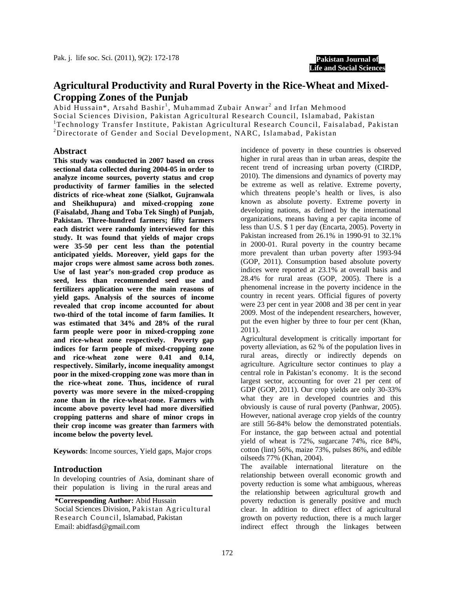**Pakistan Journal of Life and Social Sciences**

# **Agricultural Productivity and Rural Poverty in the Rice-Wheat and Mixed-Cropping Zones of the Punjab**

Abid Hussain\*, Arsahd Bashir<sup>1</sup>, Muhammad Zubair Anwar<sup>2</sup> and Irfan Mehmood

Social Sciences Division, Pakistan Agricultural Research Council, Islamabad, Pakistan

<sup>1</sup>Technology Transfer Institute, Pakistan Agricultural Research Council, Faisalabad, Pakistan

<sup>2</sup>Directorate of Gender and Social Development, NARC, Islamabad, Pakistan

## **Abstract**

**This study was conducted in 2007 based on cross sectional data collected during 2004-05 in order to analyze income sources, poverty status and crop productivity of farmer families in the selected districts of rice-wheat zone (Sialkot, Gujranwala and Sheikhupura) and mixed-cropping zone (Faisalabd, Jhang and Toba Tek Singh) of Punjab, Pakistan. Three-hundred farmers; fifty farmers each district were randomly interviewed for this study. It was found that yields of major crops were 35-50 per cent less than the potential anticipated yields. Moreover, yield gaps for the major crops were almost same across both zones. Use of last year's non-graded crop produce as seed, less than recommended seed use and fertilizers application were the main reasons of yield gaps. Analysis of the sources of income revealed that crop income accounted for about two-third of the total income of farm families. It was estimated that 34% and 28% of the rural farm people were poor in mixed-cropping zone and rice-wheat zone respectively. Poverty gap indices for farm people of mixed-cropping zone and rice-wheat zone were 0.41 and 0.14, respectively. Similarly, income inequality amongst poor in the mixed-cropping zone was more than in the rice-wheat zone. Thus, incidence of rural poverty was more severe in the mixed-cropping zone than in the rice-wheat-zone. Farmers with income above poverty level had more diversified cropping patterns and share of minor crops in their crop income was greater than farmers with income below the poverty level.** 

**Keywords**: Income sources, Yield gaps, Major crops

## **Introduction**

In developing countries of Asia, dominant share of their population is living in the rural areas and

**\*Corresponding Author:** Abid Hussain Social Sciences Division, Pakistan Agricultural Research Council, Islamabad, Pakistan Email: abidfasd@gmail.com

incidence of poverty in these countries is observed higher in rural areas than in urban areas, despite the recent trend of increasing urban poverty (CIRDP, 2010). The dimensions and dynamics of poverty may be extreme as well as relative. Extreme poverty, which threatens people's health or lives, is also known as absolute poverty. Extreme poverty in developing nations, as defined by the international organizations, means having a per capita income of less than U.S. \$ 1 per day (Encarta, 2005). Poverty in Pakistan increased from 26.1% in 1990-91 to 32.1% in 2000-01. Rural poverty in the country became more prevalent than urban poverty after 1993-94 (GOP, 2011). Consumption based absolute poverty indices were reported at 23.1% at overall basis and 28.4% for rural areas (GOP, 2005). There is a phenomenal increase in the poverty incidence in the country in recent years. Official figures of poverty were 23 per cent in year 2008 and 38 per cent in year 2009. Most of the independent researchers, however, put the even higher by three to four per cent (Khan, 2011).

Agricultural development is critically important for poverty alleviation, as 62 % of the population lives in rural areas, directly or indirectly depends on agriculture. Agriculture sector continues to play a central role in Pakistan's economy. It is the second largest sector, accounting for over 21 per cent of GDP (GOP, 2011). Our crop yields are only 30-33% what they are in developed countries and this obviously is cause of rural poverty (Panhwar, 2005). However, national average crop yields of the country are still 56-84% below the demonstrated potentials. For instance, the gap between actual and potential yield of wheat is 72%, sugarcane 74%, rice 84%, cotton (lint) 56%, maize 73%, pulses 86%, and edible oilseeds 77% (Khan, 2004).

The available international literature on the relationship between overall economic growth and poverty reduction is some what ambiguous, whereas the relationship between agricultural growth and poverty reduction is generally positive and much clear. In addition to direct effect of agricultural growth on poverty reduction, there is a much larger indirect effect through the linkages between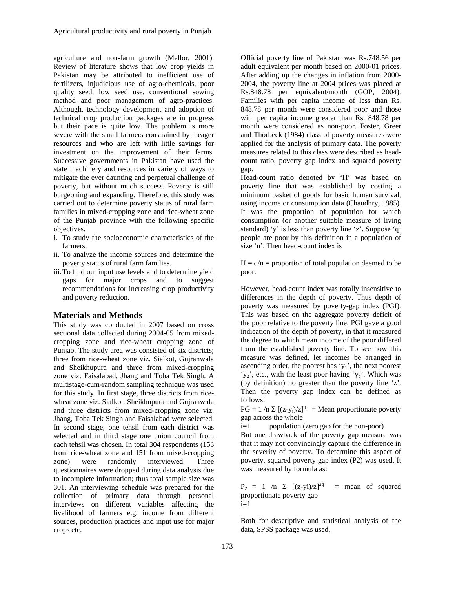agriculture and non-farm growth (Mellor, 2001). Review of literature shows that low crop yields in Pakistan may be attributed to inefficient use of fertilizers, injudicious use of agro-chemicals, poor quality seed, low seed use, conventional sowing method and poor management of agro-practices. Although, technology development and adoption of technical crop production packages are in progress but their pace is quite low. The problem is more severe with the small farmers constrained by meager resources and who are left with little savings for investment on the improvement of their farms. Successive governments in Pakistan have used the state machinery and resources in variety of ways to mitigate the ever daunting and perpetual challenge of poverty, but without much success. Poverty is still burgeoning and expanding. Therefore, this study was carried out to determine poverty status of rural farm families in mixed-cropping zone and rice-wheat zone of the Punjab province with the following specific objectives.

- i. To study the socioeconomic characteristics of the farmers.
- ii. To analyze the income sources and determine the poverty status of rural farm families.
- iii.To find out input use levels and to determine yield gaps for major crops and to suggest recommendations for increasing crop productivity and poverty reduction.

# **Materials and Methods**

This study was conducted in 2007 based on cross sectional data collected during 2004-05 from mixedcropping zone and rice-wheat cropping zone of Punjab. The study area was consisted of six districts; three from rice-wheat zone viz. Sialkot, Gujranwala and Sheikhupura and three from mixed-cropping zone viz. Faisalabad, Jhang and Toba Tek Singh. A multistage-cum-random sampling technique was used for this study. In first stage, three districts from ricewheat zone viz. Sialkot, Sheikhupura and Gujranwala and three districts from mixed-cropping zone viz. Jhang, Toba Tek Singh and Faisalabad were selected. In second stage, one tehsil from each district was selected and in third stage one union council from each tehsil was chosen. In total 304 respondents (153 from rice-wheat zone and 151 from mixed-cropping zone) were randomly interviewed. Three questionnaires were dropped during data analysis due to incomplete information; thus total sample size was 301. An interviewing schedule was prepared for the collection of primary data through personal interviews on different variables affecting the livelihood of farmers e.g. income from different sources, production practices and input use for major crops etc.

Official poverty line of Pakistan was Rs.748.56 per adult equivalent per month based on 2000-01 prices. After adding up the changes in inflation from 2000- 2004, the poverty line at 2004 prices was placed at Rs.848.78 per equivalent/month (GOP, 2004). Families with per capita income of less than Rs. 848.78 per month were considered poor and those with per capita income greater than Rs. 848.78 per month were considered as non-poor. Foster, Greer and Thorbeck (1984) class of poverty measures were applied for the analysis of primary data. The poverty measures related to this class were described as headcount ratio, poverty gap index and squared poverty gap.

Head-count ratio denoted by 'H' was based on poverty line that was established by costing a minimum basket of goods for basic human survival, using income or consumption data (Chaudhry, 1985). It was the proportion of population for which consumption (or another suitable measure of living standard) 'y' is less than poverty line 'z'. Suppose 'q' people are poor by this definition in a population of size 'n'. Then head-count index is

 $H = q/n$  = proportion of total population deemed to be poor.

However, head-count index was totally insensitive to differences in the depth of poverty. Thus depth of poverty was measured by poverty-gap index (PGI). This was based on the aggregate poverty deficit of the poor relative to the poverty line. PGI gave a good indication of the depth of poverty, in that it measured the degree to which mean income of the poor differed from the established poverty line. To see how this measure was defined, let incomes be arranged in ascending order, the poorest has  $y_1$ , the next poorest 'y<sub>2</sub>', etc., with the least poor having 'y<sub>q</sub>'. Which was (by definition) no greater than the poverty line 'z'. Then the poverty gap index can be defined as follows:

 $PG = 1/n \sum [(z-y_i)/z]^q$  = Mean proportionate poverty gap across the whole

 $i=1$  population (zero gap for the non-poor)

But one drawback of the poverty gap measure was that it may not convincingly capture the difference in the severity of poverty. To determine this aspect of poverty, squared poverty gap index (P2) was used. It was measured by formula as:

 $P_2 = 1$  /n  $\Sigma$   $[(z-yi)/z]^{2q} =$  mean of squared proportionate poverty gap  $i=1$ 

Both for descriptive and statistical analysis of the data, SPSS package was used.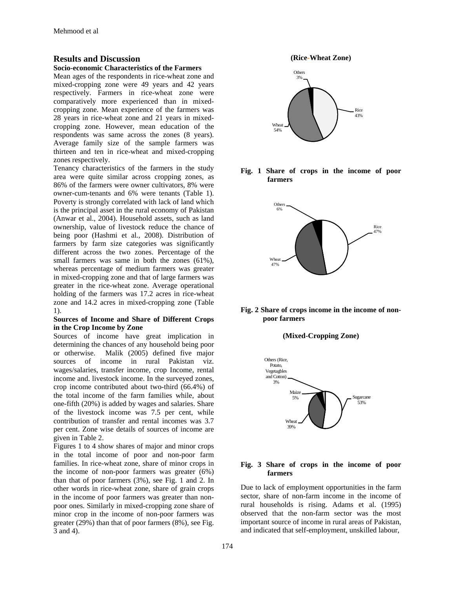# **Results and Discussion**

#### **Socio-economic Characteristics of the Farmers**

Mean ages of the respondents in rice-wheat zone and mixed-cropping zone were 49 years and 42 years respectively. Farmers in rice-wheat zone were comparatively more experienced than in mixedcropping zone. Mean experience of the farmers was 28 years in rice-wheat zone and 21 years in mixedcropping zone. However, mean education of the respondents was same across the zones (8 years). Average family size of the sample farmers was thirteen and ten in rice-wheat and mixed-cropping zones respectively.

Tenancy characteristics of the farmers in the study area were quite similar across cropping zones, as 86% of the farmers were owner cultivators, 8% were owner-cum-tenants and 6% were tenants (Table 1). Poverty is strongly correlated with lack of land which is the principal asset in the rural economy of Pakistan (Anwar et al., 2004). Household assets, such as land ownership, value of livestock reduce the chance of being poor (Hashmi et al., 2008). Distribution of farmers by farm size categories was significantly different across the two zones. Percentage of the small farmers was same in both the zones (61%), whereas percentage of medium farmers was greater in mixed-cropping zone and that of large farmers was greater in the rice-wheat zone. Average operational holding of the farmers was 17.2 acres in rice-wheat zone and 14.2 acres in mixed-cropping zone (Table 1).

#### **Sources of Income and Share of Different Crops in the Crop Income by Zone**

Sources of income have great implication in determining the chances of any household being poor or otherwise. Malik (2005) defined five major sources of income in rural Pakistan viz. wages/salaries, transfer income, crop Income, rental income and. livestock income. In the surveyed zones, crop income contributed about two-third (66.4%) of the total income of the farm families while, about one-fifth (20%) is added by wages and salaries. Share of the livestock income was 7.5 per cent, while contribution of transfer and rental incomes was 3.7 per cent. Zone wise details of sources of income are given in Table 2.

Figures 1 to 4 show shares of major and minor crops in the total income of poor and non-poor farm families. In rice-wheat zone, share of minor crops in the income of non-poor farmers was greater (6%) than that of poor farmers (3%), see Fig. 1 and 2. In other words in rice-wheat zone, share of grain crops in the income of poor farmers was greater than nonpoor ones. Similarly in mixed-cropping zone share of minor crop in the income of non-poor farmers was greater (29%) than that of poor farmers (8%), see Fig. 3 and 4).

**(Rice-Wheat Zone)**



**Fig. 1 Share of crops in the income of poor farmers** 



#### **Fig. 2 Share of crops income in the income of nonpoor farmers**

#### **(Mixed-Cropping Zone)**



#### **Fig. 3 Share of crops in the income of poor farmers**

Due to lack of employment opportunities in the farm sector, share of non-farm income in the income of rural households is rising. Adams et al. (1995) observed that the non-farm sector was the most important source of income in rural areas of Pakistan, and indicated that self-employment, unskilled labour,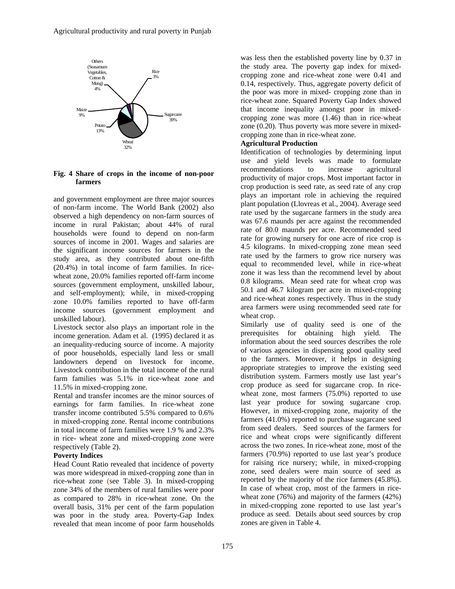

## **Fig. 4 Share of crops in the income of non-poor farmers**

and government employment are three major sources of non-farm income. The World Bank (2002) also observed a high dependency on non-farm sources of income in rural Pakistan; about 44% of rural households were found to depend on non-farm sources of income in 2001. Wages and salaries are the significant income sources for farmers in the study area, as they contributed about one-fifth (20.4%) in total income of farm families. In ricewheat zone, 20.0% families reported off-farm income sources (government employment, unskilled labour, and self-employment); while, in mixed-cropping zone 10.0% families reported to have off-farm income sources (government employment and unskilled labour).

Livestock sector also plays an important role in the income generation. Adam et al. (1995) declared it as an inequality-reducing source of income. A majority of poor households, especially land less or small landowners depend on livestock for income. Livestock contribution in the total income of the rural farm families was 5.1% in rice-wheat zone and 11.5% in mixed-cropping zone.

Rental and transfer incomes are the minor sources of earnings for farm families. In rice-wheat zone transfer income contributed 5.5% compared to 0.6% in mixed-cropping zone. Rental income contributions in total income of farm families were 1.9 % and 2.3% in rice- wheat zone and mixed-cropping zone were respectively (Table 2).

## **Poverty Indices**

Head Count Ratio revealed that incidence of poverty was more widespread in mixed-cropping zone than in rice-wheat zone (see Table 3). In mixed-cropping zone 34% of the members of rural families were poor as compared to 28% in rice-wheat zone. On the overall basis, 31% per cent of the farm population was poor in the study area. Poverty-Gap Index revealed that mean income of poor farm households

was less then the established poverty line by 0.37 in the study area. The poverty gap index for mixedcropping zone and rice-wheat zone were 0.41 and 0.14, respectively. Thus, aggregate poverty deficit of the poor was more in mixed- cropping zone than in rice-wheat zone. Squared Poverty Gap Index showed that income inequality amongst poor in mixedcropping zone was more (1.46) than in rice-wheat zone (0.20). Thus poverty was more severe in mixedcropping zone than in rice-wheat zone*.* 

# **Agricultural Production**

Identification of technologies by determining input use and yield levels was made to formulate recommendations to increase agricultural productivity of major crops. Most important factor in crop production is seed rate, as seed rate of any crop plays an important role in achieving the required plant population (Llovreas et al., 2004). Average seed rate used by the sugarcane farmers in the study area was 67.6 maunds per acre against the recommended rate of 80.0 maunds per acre. Recommended seed rate for growing nursery for one acre of rice crop is 4.5 kilograms. In mixed-cropping zone mean seed rate used by the farmers to grow rice nursery was equal to recommended level, while in rice-wheat zone it was less than the recommend level by about 0.8 kilograms. Mean seed rate for wheat crop was 50.1 and 46.7 kilogram per acre in mixed-cropping and rice-wheat zones respectively. Thus in the study area farmers were using recommended seed rate for wheat crop.

Similarly use of quality seed is one of the prerequisites for obtaining high yield. The information about the seed sources describes the role of various agencies in dispensing good quality seed to the farmers. Moreover, it helps in designing appropriate strategies to improve the existing seed distribution system. Farmers mostly use last year's crop produce as seed for sugarcane crop. In ricewheat zone, most farmers (75.0%) reported to use last year produce for sowing sugarcane crop. However, in mixed-cropping zone, majority of the farmers (41.0%) reported to purchase sugarcane seed from seed dealers. Seed sources of the farmers for rice and wheat crops were significantly different across the two zones. In rice-wheat zone, most of the farmers (70.9%) reported to use last year's produce for raising rice nursery; while, in mixed-cropping zone, seed dealers were main source of seed as reported by the majority of the rice farmers (45.8%). In case of wheat crop, most of the farmers in ricewheat zone (76%) and majority of the farmers (42%) in mixed-cropping zone reported to use last year's produce as seed. Details about seed sources by crop zones are given in Table 4.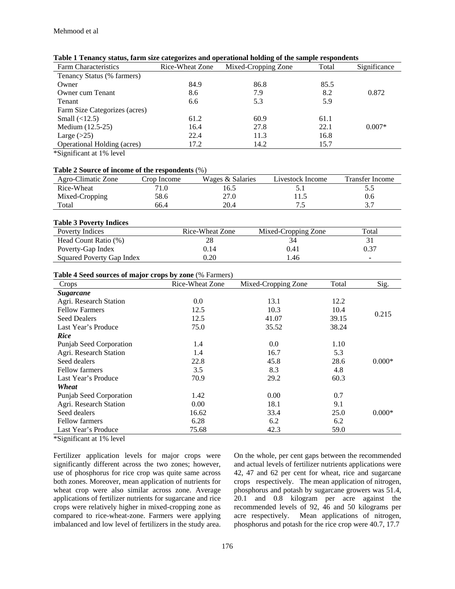| <b>Farm Characteristics</b>   | Rice-Wheat Zone | Mixed-Cropping Zone | Total | Significance |
|-------------------------------|-----------------|---------------------|-------|--------------|
| Tenancy Status (% farmers)    |                 |                     |       |              |
| Owner                         | 84.9            | 86.8                | 85.5  |              |
| Owner cum Tenant              | 8.6             | 7.9                 | 8.2   | 0.872        |
| Tenant                        | 6.6             | 5.3                 | 5.9   |              |
| Farm Size Categorizes (acres) |                 |                     |       |              |
| Small $(\langle 12.5)$        | 61.2            | 60.9                | 61.1  |              |
| Medium (12.5-25)              | 16.4            | 27.8                | 22.1  | $0.007*$     |
| Large $(>25)$                 | 22.4            | 11.3                | 16.8  |              |
| Operational Holding (acres)   | 17.2            | 14.2                | 15.7  |              |
| *Significant at 1% level      |                 |                     |       |              |

#### **Table 1 Tenancy status, farm size categorizes and operational holding of the sample respondents**

# **Table 2 Source of income of the respondents** (%)

| Agro-Climatic Zone | Crop Income | Wages & Salaries | Livestock Income | Transfer Income |
|--------------------|-------------|------------------|------------------|-----------------|
| Rice-Wheat         |             | 16.5             |                  | כ.כ             |
| Mixed-Cropping     | 58.6        | 27.0             |                  | 0.6             |
| Total              | 66.4        | 20.4             | $\cdot$          | ، . ب           |

## **Table 3 Poverty Indices**

| ---------                 |                 |                     |       |
|---------------------------|-----------------|---------------------|-------|
| Poverty Indices           | Rice-Wheat Zone | Mixed-Cropping Zone | Total |
| Head Count Ratio (%)      |                 |                     |       |
| Poverty-Gap Index         | 0.14            | 0.41                | 0.37  |
| Squared Poverty Gap Index | 0.20            | .46                 |       |
|                           |                 |                     |       |

#### **Table 4 Seed sources of major crops by zone** (% Farmers)

| Crops                           | Rice-Wheat Zone | Mixed-Cropping Zone | Total | Sig.     |
|---------------------------------|-----------------|---------------------|-------|----------|
| <b>Sugarcane</b>                |                 |                     |       |          |
| Agri. Research Station          | 0.0             | 13.1                | 12.2  |          |
| <b>Fellow Farmers</b>           | 12.5            | 10.3                | 10.4  | 0.215    |
| <b>Seed Dealers</b>             | 12.5            | 41.07               | 39.15 |          |
| Last Year's Produce             | 75.0            | 35.52               | 38.24 |          |
| Rice                            |                 |                     |       |          |
| Punjab Seed Corporation         | 1.4             | 0.0                 | 1.10  |          |
| Agri. Research Station          | 1.4             | 16.7                | 5.3   |          |
| Seed dealers                    | 22.8            | 45.8                | 28.6  | $0.000*$ |
| <b>Fellow farmers</b>           | 3.5             | 8.3                 | 4.8   |          |
| Last Year's Produce             | 70.9            | 29.2                | 60.3  |          |
| Wheat                           |                 |                     |       |          |
| Punjab Seed Corporation         | 1.42            | 0.00                | 0.7   |          |
| Agri. Research Station          | 0.00            | 18.1                | 9.1   |          |
| Seed dealers                    | 16.62           | 33.4                | 25.0  | $0.000*$ |
| <b>Fellow farmers</b>           | 6.28            | 6.2                 | 6.2   |          |
| Last Year's Produce             | 75.68           | 42.3                | 59.0  |          |
| $*$ C: : $\mathcal{L}$ in 10/11 |                 |                     |       |          |

\*Significant at 1% level

Fertilizer application levels for major crops were significantly different across the two zones; however, use of phosphorus for rice crop was quite same across both zones. Moreover, mean application of nutrients for wheat crop were also similar across zone. Average applications of fertilizer nutrients for sugarcane and rice crops were relatively higher in mixed-cropping zone as compared to rice-wheat-zone. Farmers were applying imbalanced and low level of fertilizers in the study area.

On the whole, per cent gaps between the recommended and actual levels of fertilizer nutrients applications were 42, 47 and 62 per cent for wheat, rice and sugarcane crops respectively. The mean application of nitrogen, phosphorus and potash by sugarcane growers was 51.4, 20.1 and 0.8 kilogram per acre against the recommended levels of 92, 46 and 50 kilograms per acre respectively. Mean applications of nitrogen, phosphorus and potash for the rice crop were 40.7, 17.7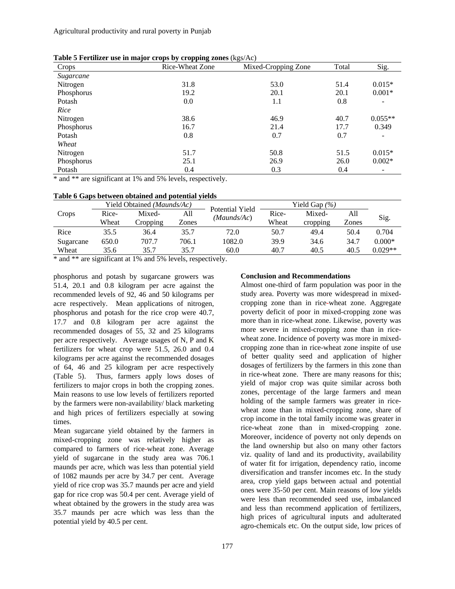| Crops      | $\sim$ , $\sim$ $\sim$ $\sim$ $\sim$ $\sim$ $\sim$<br>Rice-Wheat Zone | $\sim$<br>Mixed-Cropping Zone | Total | Sig.      |
|------------|-----------------------------------------------------------------------|-------------------------------|-------|-----------|
| Sugarcane  |                                                                       |                               |       |           |
| Nitrogen   | 31.8                                                                  | 53.0                          | 51.4  | $0.015*$  |
| Phosphorus | 19.2                                                                  | 20.1                          | 20.1  | $0.001*$  |
| Potash     | 0.0                                                                   | 1.1                           | 0.8   |           |
| Rice       |                                                                       |                               |       |           |
| Nitrogen   | 38.6                                                                  | 46.9                          | 40.7  | $0.055**$ |
| Phosphorus | 16.7                                                                  | 21.4                          | 17.7  | 0.349     |
| Potash     | 0.8                                                                   | 0.7                           | 0.7   |           |
| Wheat      |                                                                       |                               |       |           |
| Nitrogen   | 51.7                                                                  | 50.8                          | 51.5  | $0.015*$  |
| Phosphorus | 25.1                                                                  | 26.9                          | 26.0  | $0.002*$  |
| Potash     | 0.4                                                                   | 0.3                           | 0.4   |           |

**Table 5 Fertilizer use in major crops by cropping zones**  $(kgs/Ac)$ 

\* and \*\* are significant at 1% and 5% levels, respectively.

| Table 6 Gaps between obtained and potential yields |  |
|----------------------------------------------------|--|
|----------------------------------------------------|--|

|           | Yield Obtained (Maunds/Ac) |          | Potential Yield | Yield Gap $(\% )$ |       |          |       |           |
|-----------|----------------------------|----------|-----------------|-------------------|-------|----------|-------|-----------|
| Crops     | Rice-                      | Mixed-   | All             | (Maunds/Ac)       | Rice- | Mixed-   | All   |           |
|           | Wheat                      | Cropping | Zones           |                   | Wheat | cropping | Zones | Sig.      |
| Rice      | 35.5                       | 36.4     | 35.7            | 72.0              | 50.7  | 49.4     | 50.4  | 0.704     |
| Sugarcane | 650.0                      | 707.7    | 706.1           | 1082.0            | 39.9  | 34.6     | 34.7  | $0.000*$  |
| Wheat     | 35.6                       | 35.7     | 35.7            | 60.0              | 40.7  | 40.5     | 40.5  | $0.029**$ |

\* and \*\* are significant at 1% and 5% levels, respectively.

phosphorus and potash by sugarcane growers was 51.4, 20.1 and 0.8 kilogram per acre against the recommended levels of 92, 46 and 50 kilograms per acre respectively. Mean applications of nitrogen, phosphorus and potash for the rice crop were 40.7, 17.7 and 0.8 kilogram per acre against the recommended dosages of 55, 32 and 25 kilograms per acre respectively. Average usages of N, P and K fertilizers for wheat crop were 51.5, 26.0 and 0.4 kilograms per acre against the recommended dosages of 64, 46 and 25 kilogram per acre respectively (Table 5). Thus, farmers apply lows doses of fertilizers to major crops in both the cropping zones. Main reasons to use low levels of fertilizers reported by the farmers were non-availability/ black marketing and high prices of fertilizers especially at sowing times.

Mean sugarcane yield obtained by the farmers in mixed-cropping zone was relatively higher as compared to farmers of rice-wheat zone. Average yield of sugarcane in the study area was 706.1 maunds per acre, which was less than potential yield of 1082 maunds per acre by 34.7 per cent. Average yield of rice crop was 35.7 maunds per acre and yield gap for rice crop was 50.4 per cent. Average yield of wheat obtained by the growers in the study area was 35.7 maunds per acre which was less than the potential yield by 40.5 per cent.

## **Conclusion and Recommendations**

Almost one-third of farm population was poor in the study area. Poverty was more widespread in mixedcropping zone than in rice-wheat zone. Aggregate poverty deficit of poor in mixed-cropping zone was more than in rice-wheat zone. Likewise, poverty was more severe in mixed-cropping zone than in ricewheat zone. Incidence of poverty was more in mixedcropping zone than in rice-wheat zone inspite of use of better quality seed and application of higher dosages of fertilizers by the farmers in this zone than in rice-wheat zone. There are many reasons for this; yield of major crop was quite similar across both zones, percentage of the large farmers and mean holding of the sample farmers was greater in ricewheat zone than in mixed-cropping zone, share of crop income in the total family income was greater in rice-wheat zone than in mixed-cropping zone. Moreover, incidence of poverty not only depends on the land ownership but also on many other factors viz. quality of land and its productivity, availability of water fit for irrigation, dependency ratio, income diversification and transfer incomes etc. In the study area, crop yield gaps between actual and potential ones were 35-50 per cent. Main reasons of low yields were less than recommended seed use, imbalanced and less than recommend application of fertilizers, high prices of agricultural inputs and adulterated agro-chemicals etc. On the output side, low prices of